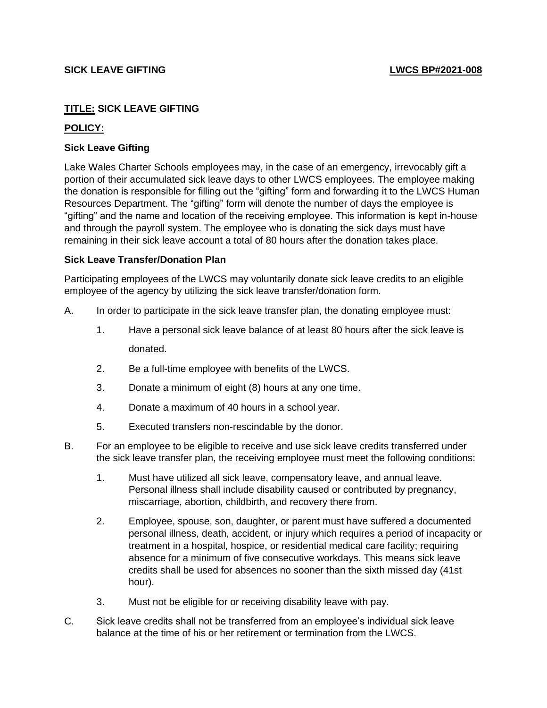## **TITLE: SICK LEAVE GIFTING**

## **POLICY:**

## **Sick Leave Gifting**

Lake Wales Charter Schools employees may, in the case of an emergency, irrevocably gift a portion of their accumulated sick leave days to other LWCS employees. The employee making the donation is responsible for filling out the "gifting" form and forwarding it to the LWCS Human Resources Department. The "gifting" form will denote the number of days the employee is "gifting" and the name and location of the receiving employee. This information is kept in-house and through the payroll system. The employee who is donating the sick days must have remaining in their sick leave account a total of 80 hours after the donation takes place.

## **Sick Leave Transfer/Donation Plan**

Participating employees of the LWCS may voluntarily donate sick leave credits to an eligible employee of the agency by utilizing the sick leave transfer/donation form.

- A. In order to participate in the sick leave transfer plan, the donating employee must:
	- 1. Have a personal sick leave balance of at least 80 hours after the sick leave is donated.
	- 2. Be a full-time employee with benefits of the LWCS.
	- 3. Donate a minimum of eight (8) hours at any one time.
	- 4. Donate a maximum of 40 hours in a school year.
	- 5. Executed transfers non-rescindable by the donor.
- B. For an employee to be eligible to receive and use sick leave credits transferred under the sick leave transfer plan, the receiving employee must meet the following conditions:
	- 1. Must have utilized all sick leave, compensatory leave, and annual leave. Personal illness shall include disability caused or contributed by pregnancy, miscarriage, abortion, childbirth, and recovery there from.
	- 2. Employee, spouse, son, daughter, or parent must have suffered a documented personal illness, death, accident, or injury which requires a period of incapacity or treatment in a hospital, hospice, or residential medical care facility; requiring absence for a minimum of five consecutive workdays. This means sick leave credits shall be used for absences no sooner than the sixth missed day (41st hour).
	- 3. Must not be eligible for or receiving disability leave with pay.
- C. Sick leave credits shall not be transferred from an employee's individual sick leave balance at the time of his or her retirement or termination from the LWCS.